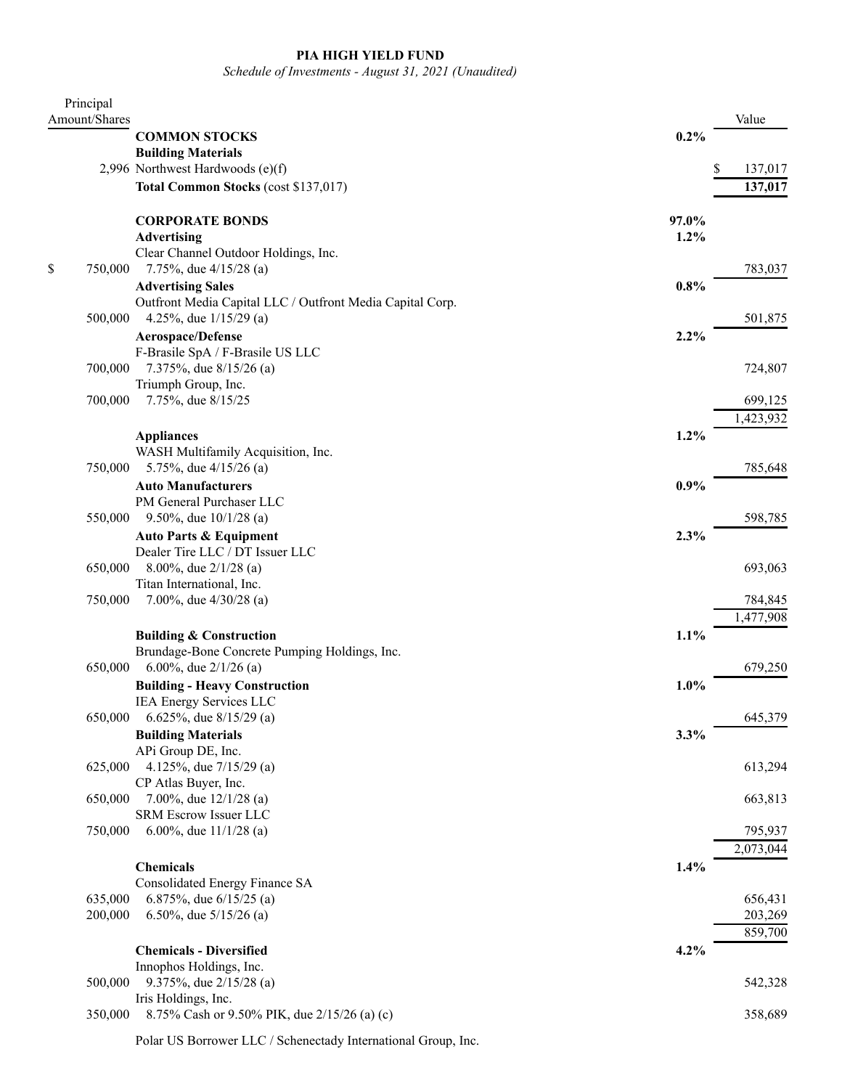## **PIA HIGH YIELD FUND**

*Schedule of Investments - August 31, 2021 (Unaudited)*

| Principal     |                                                           |       |           |
|---------------|-----------------------------------------------------------|-------|-----------|
| Amount/Shares |                                                           |       | Value     |
|               | <b>COMMON STOCKS</b>                                      | 0.2%  |           |
|               | <b>Building Materials</b>                                 |       |           |
|               | 2,996 Northwest Hardwoods (e)(f)                          |       | 137,017   |
|               | Total Common Stocks (cost \$137,017)                      |       | 137,017   |
|               | <b>CORPORATE BONDS</b>                                    | 97.0% |           |
|               | <b>Advertising</b>                                        | 1.2%  |           |
|               | Clear Channel Outdoor Holdings, Inc.                      |       |           |
| \$<br>750,000 | 7.75%, due $4/15/28$ (a)                                  |       | 783,037   |
|               | <b>Advertising Sales</b>                                  | 0.8%  |           |
|               | Outfront Media Capital LLC / Outfront Media Capital Corp. |       |           |
| 500,000       | 4.25%, due $1/15/29$ (a)                                  |       | 501,875   |
|               | Aerospace/Defense                                         | 2.2%  |           |
|               | F-Brasile SpA / F-Brasile US LLC                          |       |           |
| 700,000       | 7.375%, due 8/15/26 (a)                                   |       | 724,807   |
|               | Triumph Group, Inc.                                       |       |           |
| 700,000       | 7.75%, due 8/15/25                                        |       | 699,125   |
|               |                                                           |       | 1,423,932 |
|               | <b>Appliances</b>                                         | 1.2%  |           |
|               | WASH Multifamily Acquisition, Inc.                        |       |           |
| 750,000       | 5.75%, due 4/15/26 (a)                                    |       | 785,648   |
|               | <b>Auto Manufacturers</b>                                 | 0.9%  |           |
|               | PM General Purchaser LLC                                  |       |           |
| 550,000       | 9.50%, due $10/1/28$ (a)                                  |       | 598,785   |
|               | <b>Auto Parts &amp; Equipment</b>                         | 2.3%  |           |
|               | Dealer Tire LLC / DT Issuer LLC                           |       |           |
| 650,000       | 8.00%, due 2/1/28 (a)                                     |       | 693,063   |
|               | Titan International, Inc.                                 |       |           |
| 750,000       | 7.00%, due $4/30/28$ (a)                                  |       | 784,845   |
|               |                                                           |       | 1,477,908 |
|               | <b>Building &amp; Construction</b>                        | 1.1%  |           |
|               | Brundage-Bone Concrete Pumping Holdings, Inc.             |       |           |
| 650,000       | 6.00%, due $2/1/26$ (a)                                   |       | 679,250   |
|               | <b>Building - Heavy Construction</b>                      | 1.0%  |           |
|               | IEA Energy Services LLC                                   |       |           |
| 650,000       | 6.625%, due 8/15/29 (a)                                   |       | 645,379   |
|               | <b>Building Materials</b>                                 | 3.3%  |           |
|               | APi Group DE, Inc.                                        |       |           |
| 625,000       | 4.125%, due $7/15/29$ (a)                                 |       | 613,294   |
|               | CP Atlas Buyer, Inc.                                      |       |           |
| 650,000       | 7.00%, due $12/1/28$ (a)                                  |       | 663,813   |
|               | SRM Escrow Issuer LLC                                     |       |           |
| 750,000       | 6.00%, due $11/1/28$ (a)                                  |       | 795,937   |
|               |                                                           |       | 2,073,044 |
|               | <b>Chemicals</b>                                          | 1.4%  |           |
|               | Consolidated Energy Finance SA                            |       |           |
| 635,000       | 6.875%, due $6/15/25$ (a)                                 |       | 656,431   |
| 200,000       | 6.50%, due $5/15/26$ (a)                                  |       | 203,269   |
|               |                                                           |       | 859,700   |
|               | <b>Chemicals - Diversified</b>                            | 4.2%  |           |
|               | Innophos Holdings, Inc.                                   |       |           |
| 500,000       | 9.375%, due 2/15/28 (a)                                   |       | 542,328   |
|               | Iris Holdings, Inc.                                       |       |           |
| 350,000       | 8.75% Cash or 9.50% PIK, due 2/15/26 (a) (c)              |       | 358,689   |

Polar US Borrower LLC / Schenectady International Group, Inc.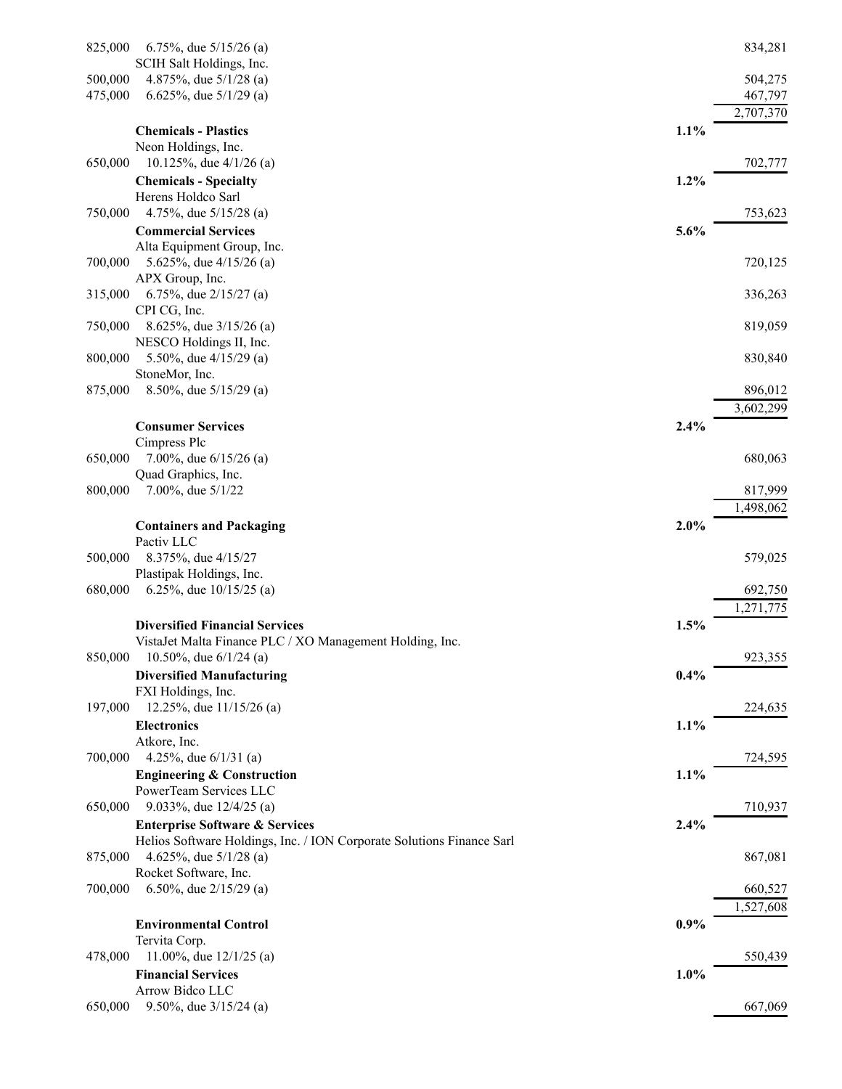| 825,000 | 6.75%, due $5/15/26$ (a)                                                                                           |         | 834,281   |
|---------|--------------------------------------------------------------------------------------------------------------------|---------|-----------|
|         | SCIH Salt Holdings, Inc.                                                                                           |         |           |
| 500,000 | 4.875%, due $5/1/28$ (a)                                                                                           |         | 504,275   |
| 475,000 | 6.625%, due $5/1/29$ (a)                                                                                           |         | 467,797   |
|         |                                                                                                                    |         | 2,707,370 |
|         | <b>Chemicals - Plastics</b>                                                                                        | 1.1%    |           |
|         | Neon Holdings, Inc.                                                                                                |         |           |
| 650,000 | 10.125%, due $4/1/26$ (a)                                                                                          |         | 702,777   |
|         | <b>Chemicals - Specialty</b>                                                                                       | $1.2\%$ |           |
|         | Herens Holdco Sarl<br>4.75%, due $5/15/28$ (a)                                                                     |         | 753,623   |
| 750,000 |                                                                                                                    |         |           |
|         | <b>Commercial Services</b>                                                                                         | 5.6%    |           |
| 700,000 | Alta Equipment Group, Inc.<br>5.625%, due 4/15/26 (a)                                                              |         | 720,125   |
|         | APX Group, Inc.                                                                                                    |         |           |
| 315,000 | 6.75%, due $2/15/27$ (a)                                                                                           |         | 336,263   |
|         | CPI CG, Inc.                                                                                                       |         |           |
| 750,000 | 8.625%, due 3/15/26 (a)                                                                                            |         | 819,059   |
|         | NESCO Holdings II, Inc.                                                                                            |         |           |
| 800,000 | 5.50%, due $4/15/29$ (a)                                                                                           |         | 830,840   |
|         | StoneMor, Inc.                                                                                                     |         |           |
| 875,000 | 8.50%, due 5/15/29 (a)                                                                                             |         | 896,012   |
|         |                                                                                                                    |         | 3,602,299 |
|         | <b>Consumer Services</b>                                                                                           | 2.4%    |           |
|         | Cimpress Plc                                                                                                       |         |           |
| 650,000 | 7.00%, due $6/15/26$ (a)                                                                                           |         | 680,063   |
|         | Quad Graphics, Inc.                                                                                                |         |           |
| 800,000 | 7.00%, due 5/1/22                                                                                                  |         | 817,999   |
|         |                                                                                                                    |         | 1,498,062 |
|         | <b>Containers and Packaging</b>                                                                                    | 2.0%    |           |
|         | Pactiv LLC                                                                                                         |         |           |
| 500,000 | 8.375%, due 4/15/27                                                                                                |         | 579,025   |
|         | Plastipak Holdings, Inc.                                                                                           |         |           |
| 680,000 | 6.25%, due $10/15/25$ (a)                                                                                          |         | 692,750   |
|         |                                                                                                                    |         | 1,271,775 |
|         | <b>Diversified Financial Services</b>                                                                              | 1.5%    |           |
|         | VistaJet Malta Finance PLC / XO Management Holding, Inc.                                                           |         |           |
| 850,000 | 10.50%, due $6/1/24$ (a)                                                                                           |         | 923,355   |
|         | <b>Diversified Manufacturing</b>                                                                                   | 0.4%    |           |
|         | FXI Holdings, Inc.                                                                                                 |         |           |
| 197,000 | 12.25%, due $11/15/26$ (a)                                                                                         |         | 224,635   |
|         | <b>Electronics</b>                                                                                                 | 1.1%    |           |
|         | Atkore, Inc.                                                                                                       |         |           |
| 700,000 | 4.25%, due $6/1/31$ (a)                                                                                            |         | 724,595   |
|         | <b>Engineering &amp; Construction</b><br>PowerTeam Services LLC                                                    | 1.1%    |           |
| 650,000 | 9.033%, due $12/4/25$ (a)                                                                                          |         | 710,937   |
|         |                                                                                                                    | 2.4%    |           |
|         | <b>Enterprise Software &amp; Services</b><br>Helios Software Holdings, Inc. / ION Corporate Solutions Finance Sarl |         |           |
| 875,000 | 4.625%, due $5/1/28$ (a)                                                                                           |         | 867,081   |
|         | Rocket Software, Inc.                                                                                              |         |           |
| 700,000 | 6.50%, due $2/15/29$ (a)                                                                                           |         | 660,527   |
|         |                                                                                                                    |         | 1,527,608 |
|         | <b>Environmental Control</b>                                                                                       | 0.9%    |           |
|         | Tervita Corp.                                                                                                      |         |           |
| 478,000 | 11.00%, due $12/1/25$ (a)                                                                                          |         | 550,439   |
|         | <b>Financial Services</b>                                                                                          | 1.0%    |           |
|         | Arrow Bidco LLC                                                                                                    |         |           |
| 650,000 | 9.50%, due $3/15/24$ (a)                                                                                           |         | 667,069   |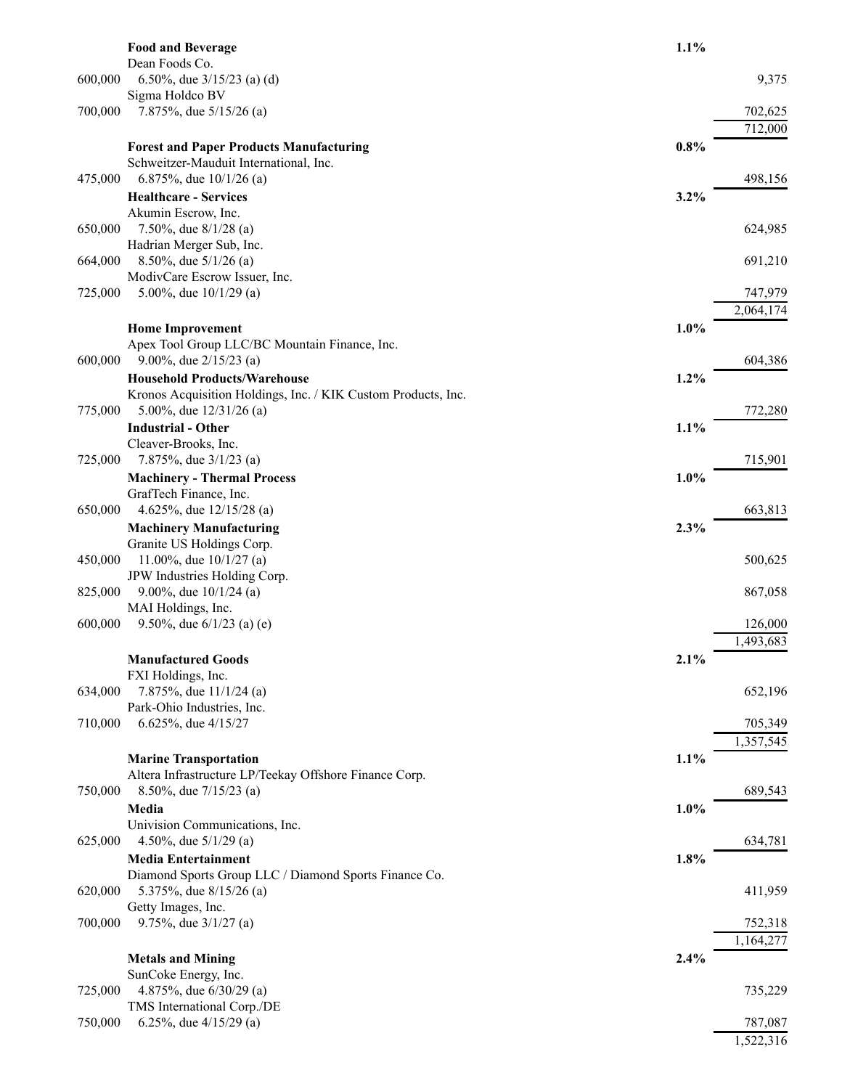|         | <b>Food and Beverage</b>                                                                   | 1.1% |           |
|---------|--------------------------------------------------------------------------------------------|------|-----------|
| 600,000 | Dean Foods Co.<br>6.50%, due $3/15/23$ (a) (d)                                             |      | 9,375     |
|         | Sigma Holdco BV                                                                            |      |           |
| 700,000 | 7.875%, due 5/15/26 (a)                                                                    |      | 702,625   |
|         |                                                                                            |      | 712,000   |
|         | <b>Forest and Paper Products Manufacturing</b><br>Schweitzer-Mauduit International, Inc.   | 0.8% |           |
| 475,000 | 6.875%, due $10/1/26$ (a)                                                                  |      | 498,156   |
|         | <b>Healthcare - Services</b>                                                               | 3.2% |           |
|         | Akumin Escrow, Inc.                                                                        |      |           |
| 650,000 | 7.50%, due $8/1/28$ (a)<br>Hadrian Merger Sub, Inc.                                        |      | 624,985   |
| 664,000 | 8.50%, due $5/1/26$ (a)                                                                    |      | 691,210   |
|         | ModivCare Escrow Issuer, Inc.                                                              |      |           |
| 725,000 | 5.00%, due $10/1/29$ (a)                                                                   |      | 747,979   |
|         | <b>Home Improvement</b>                                                                    | 1.0% | 2,064,174 |
|         | Apex Tool Group LLC/BC Mountain Finance, Inc.                                              |      |           |
| 600,000 | 9.00%, due $2/15/23$ (a)                                                                   |      | 604,386   |
|         | <b>Household Products/Warehouse</b>                                                        | 1.2% |           |
| 775,000 | Kronos Acquisition Holdings, Inc. / KIK Custom Products, Inc.<br>5.00%, due $12/31/26$ (a) |      | 772,280   |
|         | <b>Industrial - Other</b>                                                                  | 1.1% |           |
|         | Cleaver-Brooks, Inc.                                                                       |      |           |
| 725,000 | 7.875%, due $3/1/23$ (a)                                                                   |      | 715,901   |
|         | <b>Machinery - Thermal Process</b><br>GrafTech Finance, Inc.                               | 1.0% |           |
| 650,000 | 4.625%, due $12/15/28$ (a)                                                                 |      | 663,813   |
|         | <b>Machinery Manufacturing</b>                                                             | 2.3% |           |
|         | Granite US Holdings Corp.                                                                  |      |           |
| 450,000 | 11.00%, due $10/1/27$ (a)<br>JPW Industries Holding Corp.                                  |      | 500,625   |
| 825,000 | 9.00%, due $10/1/24$ (a)                                                                   |      | 867,058   |
|         | MAI Holdings, Inc.                                                                         |      |           |
| 600,000 | 9.50%, due $6/1/23$ (a) (e)                                                                |      | 126,000   |
|         |                                                                                            |      | 1,493,683 |
|         | <b>Manufactured Goods</b><br>FXI Holdings, Inc.                                            | 2.1% |           |
| 634,000 | 7.875%, due 11/1/24 (a)                                                                    |      | 652,196   |
|         | Park-Ohio Industries, Inc.                                                                 |      |           |
| 710,000 | 6.625%, due 4/15/27                                                                        |      | 705,349   |
|         | <b>Marine Transportation</b>                                                               | 1.1% | 1,357,545 |
|         | Altera Infrastructure LP/Teekay Offshore Finance Corp.                                     |      |           |
| 750,000 | 8.50%, due $7/15/23$ (a)                                                                   |      | 689,543   |
|         | Media                                                                                      | 1.0% |           |
| 625,000 | Univision Communications, Inc.<br>4.50%, due $5/1/29$ (a)                                  |      | 634,781   |
|         | <b>Media Entertainment</b>                                                                 | 1.8% |           |
|         | Diamond Sports Group LLC / Diamond Sports Finance Co.                                      |      |           |
| 620,000 | 5.375%, due 8/15/26 (a)                                                                    |      | 411,959   |
| 700,000 | Getty Images, Inc.<br>9.75%, due $3/1/27$ (a)                                              |      | 752,318   |
|         |                                                                                            |      | 1,164,277 |
|         | <b>Metals and Mining</b>                                                                   | 2.4% |           |
|         | SunCoke Energy, Inc.                                                                       |      |           |
| 725,000 | 4.875%, due 6/30/29 (a)<br>TMS International Corp./DE                                      |      | 735,229   |
| 750,000 | 6.25%, due $4/15/29$ (a)                                                                   |      | 787,087   |
|         |                                                                                            |      | 1,522,316 |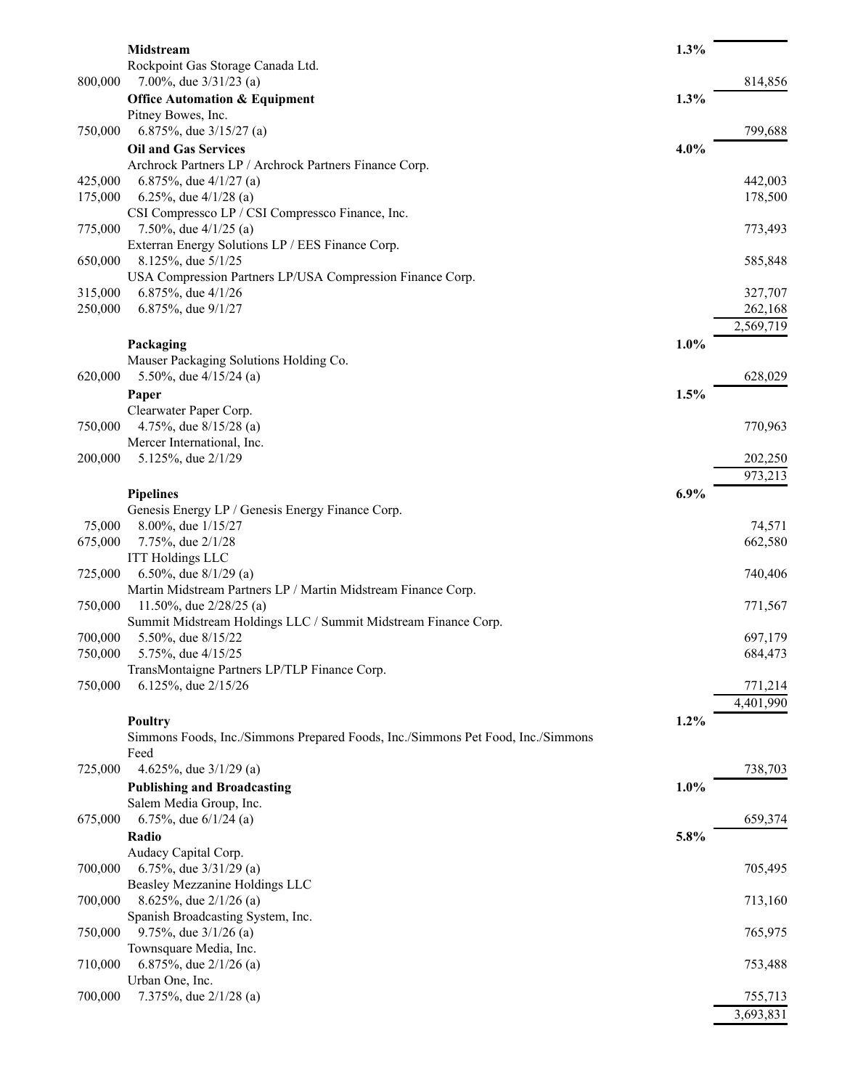|         | Midstream                                                                               | 1.3% |           |
|---------|-----------------------------------------------------------------------------------------|------|-----------|
|         | Rockpoint Gas Storage Canada Ltd.                                                       |      |           |
| 800,000 | 7.00%, due $3/31/23$ (a)                                                                |      | 814,856   |
|         | <b>Office Automation &amp; Equipment</b>                                                | 1.3% |           |
|         | Pitney Bowes, Inc.                                                                      |      |           |
| 750,000 | 6.875%, due $3/15/27$ (a)                                                               |      | 799,688   |
|         | <b>Oil and Gas Services</b>                                                             | 4.0% |           |
|         | Archrock Partners LP / Archrock Partners Finance Corp.                                  |      |           |
| 425,000 | 6.875%, due $4/1/27$ (a)                                                                |      | 442,003   |
| 175,000 | 6.25%, due $4/1/28$ (a)                                                                 |      | 178,500   |
|         | CSI Compressco LP / CSI Compressco Finance, Inc.                                        |      |           |
| 775,000 | 7.50%, due $4/1/25$ (a)                                                                 |      | 773,493   |
|         | Exterran Energy Solutions LP / EES Finance Corp.                                        |      |           |
| 650,000 | 8.125%, due 5/1/25<br>USA Compression Partners LP/USA Compression Finance Corp.         |      | 585,848   |
| 315,000 | 6.875%, due 4/1/26                                                                      |      | 327,707   |
| 250,000 | 6.875%, due 9/1/27                                                                      |      | 262,168   |
|         |                                                                                         |      | 2,569,719 |
|         | Packaging                                                                               | 1.0% |           |
|         | Mauser Packaging Solutions Holding Co.                                                  |      |           |
| 620,000 | 5.50%, due $4/15/24$ (a)                                                                |      | 628,029   |
|         | Paper                                                                                   | 1.5% |           |
|         | Clearwater Paper Corp.                                                                  |      |           |
| 750,000 | 4.75%, due 8/15/28 (a)                                                                  |      | 770,963   |
|         | Mercer International, Inc.                                                              |      |           |
| 200,000 | 5.125%, due 2/1/29                                                                      |      | 202,250   |
|         |                                                                                         |      | 973,213   |
|         | <b>Pipelines</b>                                                                        | 6.9% |           |
|         | Genesis Energy LP / Genesis Energy Finance Corp.                                        |      |           |
| 75,000  | 8.00%, due 1/15/27                                                                      |      | 74,571    |
| 675,000 | 7.75%, due 2/1/28                                                                       |      | 662,580   |
|         | <b>ITT Holdings LLC</b>                                                                 |      |           |
| 725,000 | 6.50%, due $8/1/29$ (a)                                                                 |      | 740,406   |
|         | Martin Midstream Partners LP / Martin Midstream Finance Corp.                           |      |           |
| 750,000 | 11.50%, due 2/28/25 (a)                                                                 |      | 771,567   |
|         | Summit Midstream Holdings LLC / Summit Midstream Finance Corp.                          |      |           |
| 700,000 | 5.50%, due 8/15/22                                                                      |      | 697,179   |
| 750,000 | 5.75%, due 4/15/25                                                                      |      | 684,473   |
|         | TransMontaigne Partners LP/TLP Finance Corp.                                            |      |           |
| 750,000 | 6.125%, due 2/15/26                                                                     |      | 771,214   |
|         |                                                                                         |      | 4,401,990 |
|         | Poultry                                                                                 | 1.2% |           |
|         | Simmons Foods, Inc./Simmons Prepared Foods, Inc./Simmons Pet Food, Inc./Simmons<br>Feed |      |           |
| 725,000 | 4.625%, due $3/1/29$ (a)                                                                |      | 738,703   |
|         | <b>Publishing and Broadcasting</b>                                                      | 1.0% |           |
|         | Salem Media Group, Inc.                                                                 |      |           |
| 675,000 | 6.75%, due $6/1/24$ (a)                                                                 |      | 659,374   |
|         | Radio                                                                                   | 5.8% |           |
|         | Audacy Capital Corp.                                                                    |      |           |
| 700,000 | 6.75%, due $3/31/29$ (a)                                                                |      | 705,495   |
|         | Beasley Mezzanine Holdings LLC                                                          |      |           |
| 700,000 | 8.625%, due $2/1/26$ (a)                                                                |      | 713,160   |
|         | Spanish Broadcasting System, Inc.                                                       |      |           |
| 750,000 | 9.75%, due $3/1/26$ (a)                                                                 |      | 765,975   |
|         | Townsquare Media, Inc.                                                                  |      |           |
| 710,000 | 6.875%, due $2/1/26$ (a)                                                                |      | 753,488   |
|         | Urban One, Inc.                                                                         |      |           |
| 700,000 | 7.375%, due 2/1/28 (a)                                                                  |      | 755,713   |
|         |                                                                                         |      | 3,693,831 |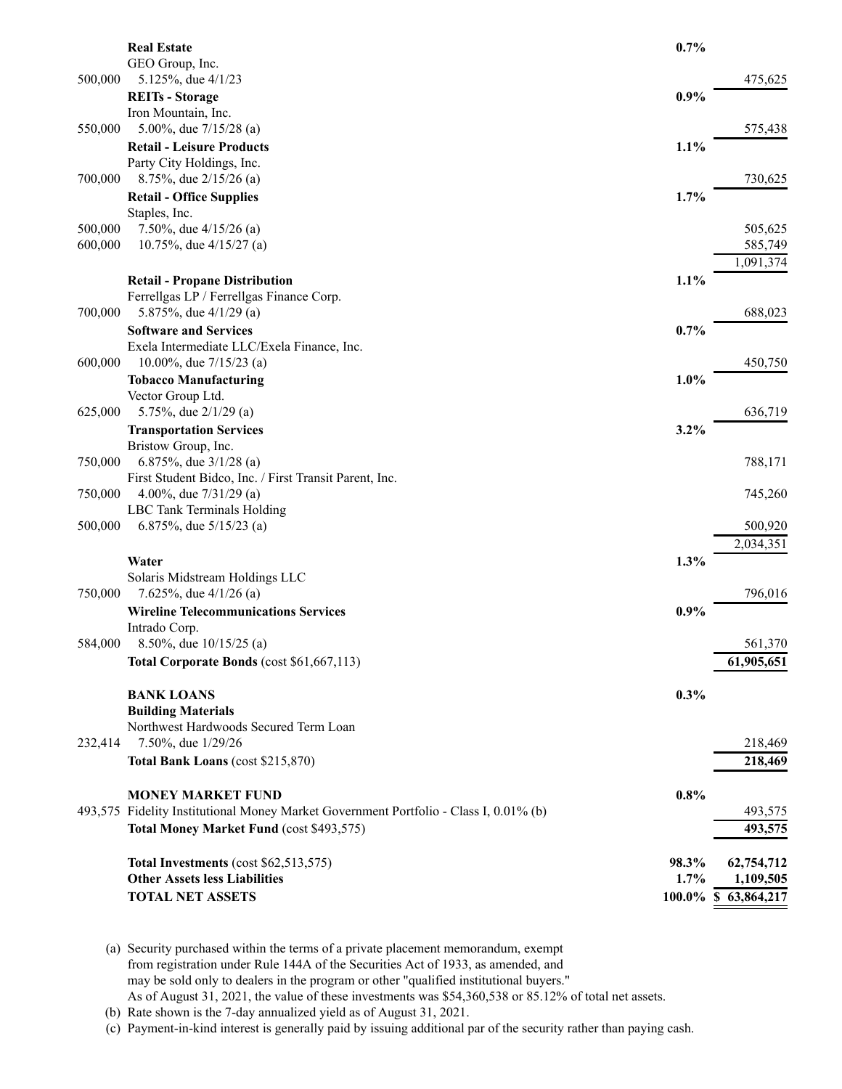|                    | <b>Real Estate</b>                                                                    | 0.7%  |                     |
|--------------------|---------------------------------------------------------------------------------------|-------|---------------------|
|                    | GEO Group, Inc.                                                                       |       |                     |
| 500,000            | 5.125%, due 4/1/23                                                                    |       | 475,625             |
|                    | <b>REITs - Storage</b><br>Iron Mountain, Inc.                                         | 0.9%  |                     |
| 550,000            | 5.00%, due $7/15/28$ (a)                                                              |       | 575,438             |
|                    | <b>Retail - Leisure Products</b>                                                      | 1.1%  |                     |
|                    | Party City Holdings, Inc.                                                             |       |                     |
| 700,000            | 8.75%, due 2/15/26 (a)                                                                |       | 730,625             |
|                    | <b>Retail - Office Supplies</b>                                                       | 1.7%  |                     |
|                    | Staples, Inc.                                                                         |       |                     |
| 500,000<br>600,000 | 7.50%, due $4/15/26$ (a)<br>10.75%, due $4/15/27$ (a)                                 |       | 505,625<br>585,749  |
|                    |                                                                                       |       | 1,091,374           |
|                    | <b>Retail - Propane Distribution</b>                                                  | 1.1%  |                     |
|                    | Ferrellgas LP / Ferrellgas Finance Corp.                                              |       |                     |
| 700,000            | 5.875%, due 4/1/29 (a)                                                                |       | 688,023             |
|                    | <b>Software and Services</b>                                                          | 0.7%  |                     |
|                    | Exela Intermediate LLC/Exela Finance, Inc.                                            |       |                     |
| 600,000            | 10.00%, due 7/15/23 (a)                                                               |       | 450,750             |
|                    | <b>Tobacco Manufacturing</b>                                                          | 1.0%  |                     |
| 625,000            | Vector Group Ltd.<br>5.75%, due $2/1/29$ (a)                                          |       | 636,719             |
|                    | <b>Transportation Services</b>                                                        | 3.2%  |                     |
|                    | Bristow Group, Inc.                                                                   |       |                     |
| 750,000            | 6.875%, due $3/1/28$ (a)                                                              |       | 788,171             |
|                    | First Student Bidco, Inc. / First Transit Parent, Inc.                                |       |                     |
| 750,000            | 4.00%, due $7/31/29$ (a)                                                              |       | 745,260             |
|                    | LBC Tank Terminals Holding                                                            |       |                     |
| 500,000            | 6.875%, due $5/15/23$ (a)                                                             |       | 500,920             |
|                    |                                                                                       |       | 2,034,351           |
|                    | Water<br>Solaris Midstream Holdings LLC                                               | 1.3%  |                     |
| 750,000            | 7.625%, due $4/1/26$ (a)                                                              |       | 796,016             |
|                    | <b>Wireline Telecommunications Services</b>                                           | 0.9%  |                     |
|                    | Intrado Corp.                                                                         |       |                     |
| 584,000            | 8.50%, due $10/15/25$ (a)                                                             |       | 561,370             |
|                    | Total Corporate Bonds (cost \$61,667,113)                                             |       | 61,905,651          |
|                    |                                                                                       |       |                     |
|                    | <b>BANK LOANS</b>                                                                     | 0.3%  |                     |
|                    | <b>Building Materials</b><br>Northwest Hardwoods Secured Term Loan                    |       |                     |
| 232,414            | 7.50%, due 1/29/26                                                                    |       | 218,469             |
|                    | Total Bank Loans (cost \$215,870)                                                     |       | 218,469             |
|                    |                                                                                       |       |                     |
|                    | <b>MONEY MARKET FUND</b>                                                              | 0.8%  |                     |
|                    | 493,575 Fidelity Institutional Money Market Government Portfolio - Class I, 0.01% (b) |       | 493,575             |
|                    | Total Money Market Fund (cost \$493,575)                                              |       | 493,575             |
|                    | Total Investments (cost \$62,513,575)                                                 | 98.3% | 62,754,712          |
|                    | <b>Other Assets less Liabilities</b>                                                  | 1.7%  | 1,109,505           |
|                    | <b>TOTAL NET ASSETS</b>                                                               |       | 100.0% \$63,864,217 |
|                    |                                                                                       |       |                     |

(a) Security purchased within the terms of a private placement memorandum, exempt from registration under Rule 144A of the Securities Act of 1933, as amended, and may be sold only to dealers in the program or other "qualified institutional buyers." As of August 31, 2021, the value of these investments was \$54,360,538 or 85.12% of total net assets.

(b) Rate shown is the 7-day annualized yield as of August 31, 2021.

(c) Payment-in-kind interest is generally paid by issuing additional par of the security rather than paying cash.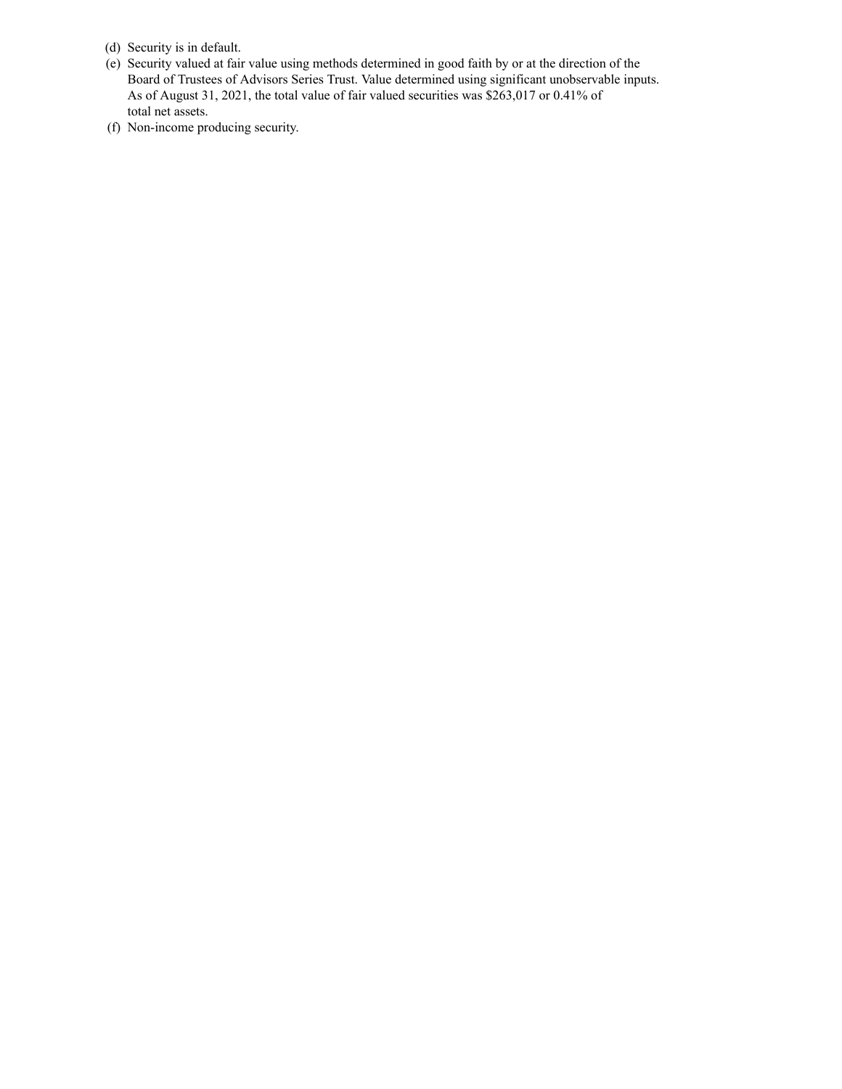- (d) Security is in default.
- (e) Security valued at fair value using methods determined in good faith by or at the direction of the Board of Trustees of Advisors Series Trust. Value determined using significant unobservable inputs. As of August 31, 2021, the total value of fair valued securities was \$263,017 or 0.41% of total net assets.
- (f) Non-income producing security.